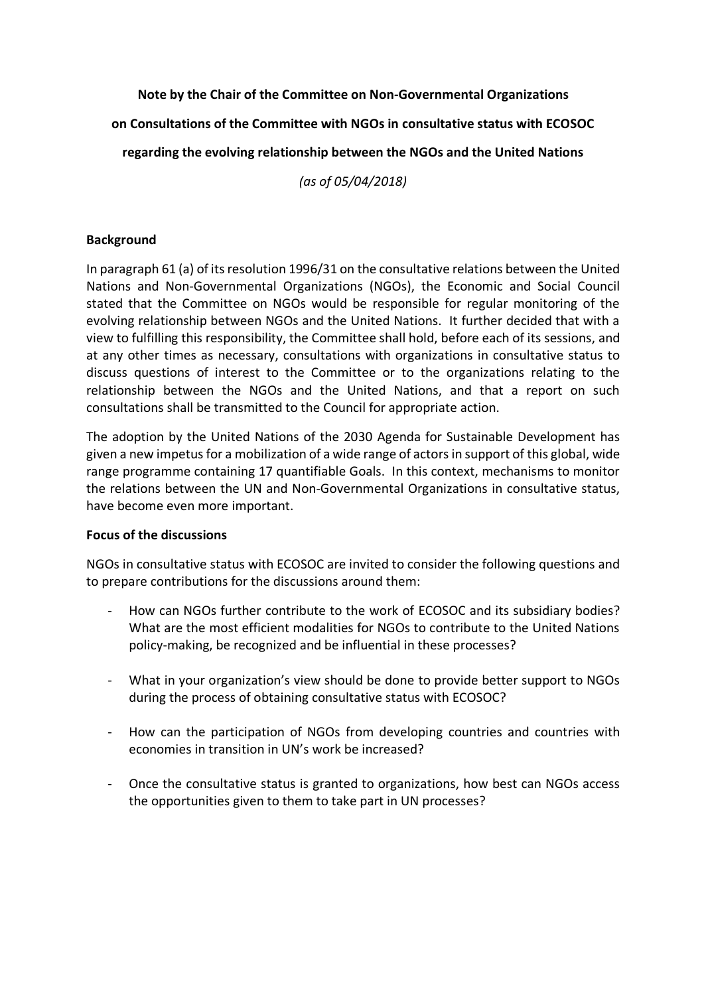# **Note by the Chair of the Committee on Non-Governmental Organizations**

**on Consultations of the Committee with NGOs in consultative status with ECOSOC**

**regarding the evolving relationship between the NGOs and the United Nations**

*(as of 05/04/2018)*

## **Background**

In paragraph 61 (a) of its resolution 1996/31 on the consultative relations between the United Nations and Non-Governmental Organizations (NGOs), the Economic and Social Council stated that the Committee on NGOs would be responsible for regular monitoring of the evolving relationship between NGOs and the United Nations. It further decided that with a view to fulfilling this responsibility, the Committee shall hold, before each of its sessions, and at any other times as necessary, consultations with organizations in consultative status to discuss questions of interest to the Committee or to the organizations relating to the relationship between the NGOs and the United Nations, and that a report on such consultations shall be transmitted to the Council for appropriate action.

The adoption by the United Nations of the 2030 Agenda for Sustainable Development has given a new impetus for a mobilization of a wide range of actors in support of this global, wide range programme containing 17 quantifiable Goals. In this context, mechanisms to monitor the relations between the UN and Non-Governmental Organizations in consultative status, have become even more important.

#### **Focus of the discussions**

NGOs in consultative status with ECOSOC are invited to consider the following questions and to prepare contributions for the discussions around them:

- How can NGOs further contribute to the work of ECOSOC and its subsidiary bodies? What are the most efficient modalities for NGOs to contribute to the United Nations policy-making, be recognized and be influential in these processes?
- What in your organization's view should be done to provide better support to NGOs during the process of obtaining consultative status with ECOSOC?
- How can the participation of NGOs from developing countries and countries with economies in transition in UN's work be increased?
- Once the consultative status is granted to organizations, how best can NGOs access the opportunities given to them to take part in UN processes?